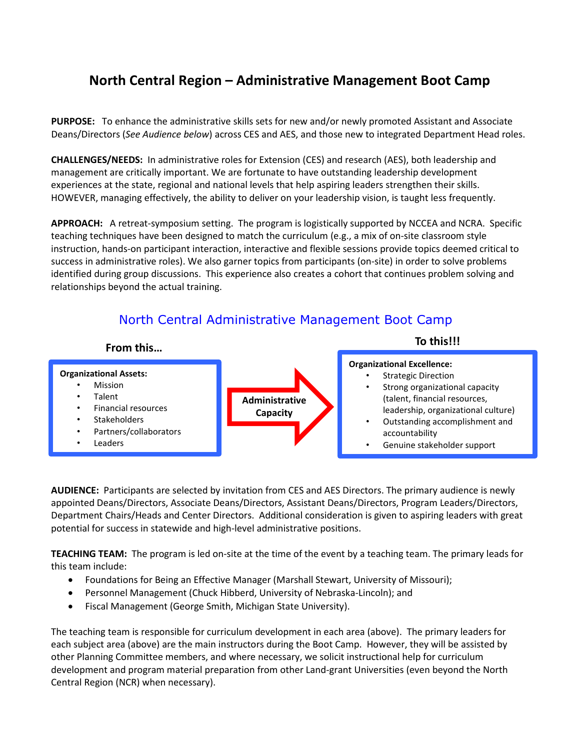# **North Central Region – Administrative Management Boot Camp**

**PURPOSE:** To enhance the administrative skills sets for new and/or newly promoted Assistant and Associate Deans/Directors (*See Audience below*) across CES and AES, and those new to integrated Department Head roles.

**CHALLENGES/NEEDS:** In administrative roles for Extension (CES) and research (AES), both leadership and management are critically important. We are fortunate to have outstanding leadership development experiences at the state, regional and national levels that help aspiring leaders strengthen their skills. HOWEVER, managing effectively, the ability to deliver on your leadership vision, is taught less frequently.

**APPROACH:** A retreat-symposium setting. The program is logistically supported by NCCEA and NCRA. Specific teaching techniques have been designed to match the curriculum (e.g., a mix of on-site classroom style instruction, hands-on participant interaction, interactive and flexible sessions provide topics deemed critical to success in administrative roles). We also garner topics from participants (on-site) in order to solve problems identified during group discussions. This experience also creates a cohort that continues problem solving and relationships beyond the actual training.

#### **Organizational Assets: Mission** • Talent • Financial resources **Stakeholders** • Partners/collaborators **Leaders Organizational Excellence: Strategic Direction** Strong organizational capacity (talent, financial resources, leadership, organizational culture) • Outstanding accomplishment and accountability • Genuine stakeholder support **Administrative Capacity From this… To this!!!**

## North Central Administrative Management Boot Camp

**AUDIENCE:** Participants are selected by invitation from CES and AES Directors. The primary audience is newly appointed Deans/Directors, Associate Deans/Directors, Assistant Deans/Directors, Program Leaders/Directors, Department Chairs/Heads and Center Directors. Additional consideration is given to aspiring leaders with great potential for success in statewide and high-level administrative positions.

**TEACHING TEAM:** The program is led on-site at the time of the event by a teaching team. The primary leads for this team include:

- Foundations for Being an Effective Manager (Marshall Stewart, University of Missouri);
- Personnel Management (Chuck Hibberd, University of Nebraska-Lincoln); and
- Fiscal Management (George Smith, Michigan State University).

The teaching team is responsible for curriculum development in each area (above). The primary leaders for each subject area (above) are the main instructors during the Boot Camp. However, they will be assisted by other Planning Committee members, and where necessary, we solicit instructional help for curriculum development and program material preparation from other Land-grant Universities (even beyond the North Central Region (NCR) when necessary).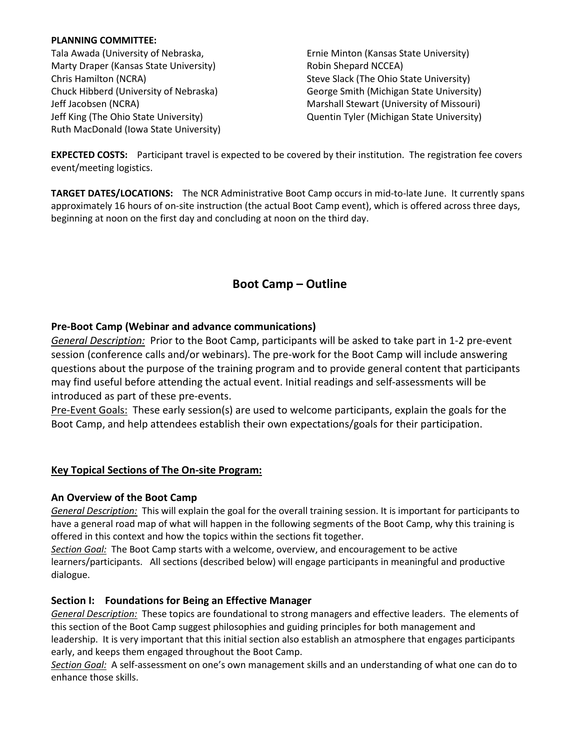#### **PLANNING COMMITTEE:**

Tala Awada (University of Nebraska, Marty Draper (Kansas State University) Chris Hamilton (NCRA) Chuck Hibberd (University of Nebraska) Jeff Jacobsen (NCRA) Jeff King (The Ohio State University) Ruth MacDonald (Iowa State University)

Ernie Minton (Kansas State University) Robin Shepard NCCEA) Steve Slack (The Ohio State University) George Smith (Michigan State University) Marshall Stewart (University of Missouri) Quentin Tyler (Michigan State University)

**EXPECTED COSTS:** Participant travel is expected to be covered by their institution. The registration fee covers event/meeting logistics.

**TARGET DATES/LOCATIONS:** The NCR Administrative Boot Camp occurs in mid-to-late June. It currently spans approximately 16 hours of on-site instruction (the actual Boot Camp event), which is offered across three days, beginning at noon on the first day and concluding at noon on the third day.

### **Boot Camp – Outline**

### **Pre-Boot Camp (Webinar and advance communications)**

*General Description:* Prior to the Boot Camp, participants will be asked to take part in 1-2 pre-event session (conference calls and/or webinars). The pre-work for the Boot Camp will include answering questions about the purpose of the training program and to provide general content that participants may find useful before attending the actual event. Initial readings and self-assessments will be introduced as part of these pre-events.

Pre-Event Goals: These early session(s) are used to welcome participants, explain the goals for the Boot Camp, and help attendees establish their own expectations/goals for their participation.

#### **Key Topical Sections of The On-site Program:**

#### **An Overview of the Boot Camp**

*General Description:* This will explain the goal for the overall training session. It is important for participants to have a general road map of what will happen in the following segments of the Boot Camp, why this training is offered in this context and how the topics within the sections fit together.

*Section Goal:* The Boot Camp starts with a welcome, overview, and encouragement to be active learners/participants. All sections (described below) will engage participants in meaningful and productive dialogue.

#### **Section I: Foundations for Being an Effective Manager**

*General Description:* These topics are foundational to strong managers and effective leaders. The elements of this section of the Boot Camp suggest philosophies and guiding principles for both management and leadership. It is very important that this initial section also establish an atmosphere that engages participants early, and keeps them engaged throughout the Boot Camp.

*Section Goal:* A self-assessment on one's own management skills and an understanding of what one can do to enhance those skills.